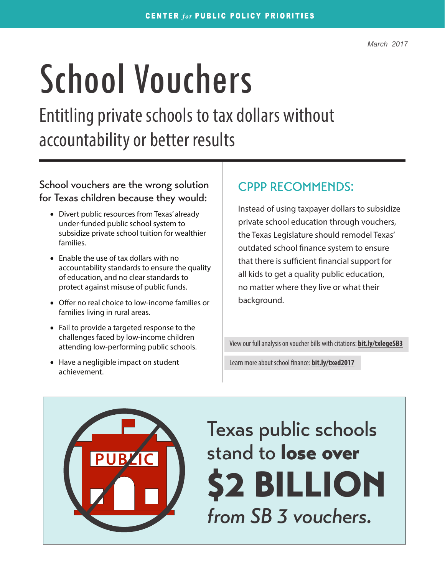# School Vouchers

Entitling private schools to tax dollars without accountability or better results

#### School vouchers are the wrong solution | CPPP RECOMMENDS: for Texas children because they would:

- Divert public resources from Texas' already under-funded public school system to subsidize private school tuition for wealthier families.
- Enable the use of tax dollars with no accountability standards to ensure the quality of education, and no clear standards to protect against misuse of public funds.
- Offer no real choice to low-income families or families living in rural areas.
- Fail to provide a targeted response to the challenges faced by low-income children attending low-performing public schools.
- Have a negligible impact on student achievement.

Instead of using taxpayer dollars to subsidize private school education through vouchers, the Texas Legislature should remodel Texas' outdated school finance system to ensure that there is sufficient financial support for all kids to get a quality public education, no matter where they live or what their background.

View our full analysis on voucher bills with citations: **[bit.ly/txlegeSB3](http://bit.ly/txlegeSB3)**

Learn more about school finance: **[bit.ly/txed2017](http://bit.ly/txed2017)**



Texas public schools stand to **lose over** \$2 BILLION *from SB 3 vouchers.*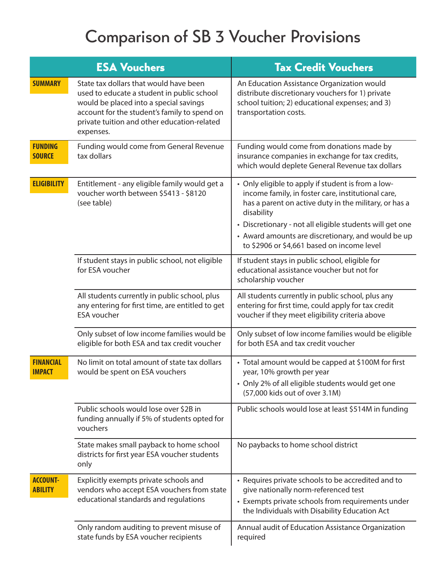# Comparison of SB 3 Voucher Provisions

| <b>ESA Vouchers</b>               |                                                                                                                                                                                                                                            | <b>Tax Credit Vouchers</b>                                                                                                                                                                                                                                                                                                                      |  |
|-----------------------------------|--------------------------------------------------------------------------------------------------------------------------------------------------------------------------------------------------------------------------------------------|-------------------------------------------------------------------------------------------------------------------------------------------------------------------------------------------------------------------------------------------------------------------------------------------------------------------------------------------------|--|
| <b>SUMMARY</b>                    | State tax dollars that would have been<br>used to educate a student in public school<br>would be placed into a special savings<br>account for the student's family to spend on<br>private tuition and other education-related<br>expenses. | An Education Assistance Organization would<br>distribute discretionary vouchers for 1) private<br>school tuition; 2) educational expenses; and 3)<br>transportation costs.                                                                                                                                                                      |  |
| <b>FUNDING</b><br><b>SOURCE</b>   | Funding would come from General Revenue<br>tax dollars                                                                                                                                                                                     | Funding would come from donations made by<br>insurance companies in exchange for tax credits,<br>which would deplete General Revenue tax dollars                                                                                                                                                                                                |  |
| <b>ELIGIBILITY</b>                | Entitlement - any eligible family would get a<br>voucher worth between \$5413 - \$8120<br>(see table)                                                                                                                                      | • Only eligible to apply if student is from a low-<br>income family, in foster care, institutional care,<br>has a parent on active duty in the military, or has a<br>disability<br>• Discretionary - not all eligible students will get one<br>• Award amounts are discretionary, and would be up<br>to \$2906 or \$4,661 based on income level |  |
|                                   | If student stays in public school, not eligible<br>for ESA voucher                                                                                                                                                                         | If student stays in public school, eligible for<br>educational assistance voucher but not for<br>scholarship voucher                                                                                                                                                                                                                            |  |
|                                   | All students currently in public school, plus<br>any entering for first time, are entitled to get<br><b>ESA</b> voucher                                                                                                                    | All students currently in public school, plus any<br>entering for first time, could apply for tax credit<br>voucher if they meet eligibility criteria above                                                                                                                                                                                     |  |
|                                   | Only subset of low income families would be<br>eligible for both ESA and tax credit voucher                                                                                                                                                | Only subset of low income families would be eligible<br>for both ESA and tax credit voucher                                                                                                                                                                                                                                                     |  |
| <b>FINANCIAL</b><br><b>IMPACT</b> | No limit on total amount of state tax dollars<br>would be spent on ESA vouchers                                                                                                                                                            | • Total amount would be capped at \$100M for first<br>year, 10% growth per year<br>• Only 2% of all eligible students would get one<br>(57,000 kids out of over 3.1M)                                                                                                                                                                           |  |
|                                   | Public schools would lose over \$2B in<br>funding annually if 5% of students opted for<br>vouchers                                                                                                                                         | Public schools would lose at least \$514M in funding                                                                                                                                                                                                                                                                                            |  |
|                                   | State makes small payback to home school<br>districts for first year ESA voucher students<br>only                                                                                                                                          | No paybacks to home school district                                                                                                                                                                                                                                                                                                             |  |
| <b>ACCOUNT-</b><br><b>ABILITY</b> | Explicitly exempts private schools and<br>vendors who accept ESA vouchers from state<br>educational standards and regulations                                                                                                              | • Requires private schools to be accredited and to<br>give nationally norm-referenced test<br>• Exempts private schools from requirements under<br>the Individuals with Disability Education Act                                                                                                                                                |  |
|                                   | Only random auditing to prevent misuse of<br>state funds by ESA voucher recipients                                                                                                                                                         | Annual audit of Education Assistance Organization<br>required                                                                                                                                                                                                                                                                                   |  |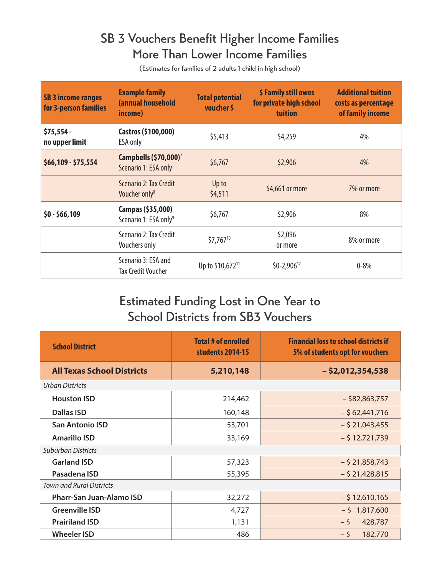## SB 3 Vouchers Benefit Higher Income Families More Than Lower Income Families

(Estimates for families of 2 adults 1 child in high school)

| <b>SB 3 income ranges</b><br>for 3-person families | <b>Example family</b><br>(annual household<br>income)     | <b>Total potential</b><br>voucher \$ | \$ Family still owes<br>for private high school<br>tuition | <b>Additional tuition</b><br>costs as percentage<br>of family income |
|----------------------------------------------------|-----------------------------------------------------------|--------------------------------------|------------------------------------------------------------|----------------------------------------------------------------------|
| $$75,554 -$<br>no upper limit                      | Castros (\$100,000)<br><b>ESA only</b>                    | \$5,413                              | \$4,259                                                    | 4%                                                                   |
| \$66,109 - \$75,554                                | Campbells (\$70,000) <sup>7</sup><br>Scenario 1: ESA only | \$6,767                              | \$2,906                                                    | 4%                                                                   |
|                                                    | Scenario 2: Tax Credit<br>Voucher only <sup>8</sup>       | Up to<br>\$4,511                     | \$4,661 or more                                            | 7% or more                                                           |
| $$0 - $66,109$                                     | Campas (\$35,000)<br>Scenario 1: ESA only <sup>9</sup>    | \$6,767                              | \$2,906                                                    | 8%                                                                   |
|                                                    | Scenario 2: Tax Credit<br><b>Vouchers only</b>            | \$7,76710                            | \$2,096<br>or more                                         | 8% or more                                                           |
|                                                    | Scenario 3: ESA and<br><b>Tax Credit Voucher</b>          | Up to \$10,672 <sup>11</sup>         | $$0-2,906^{12}$$                                           | $0 - 8\%$                                                            |

### Estimated Funding Lost in One Year to School Districts from SB3 Vouchers

| <b>School District</b>            | <b>Total # of enrolled</b><br>students 2014-15 | <b>Financial loss to school districts if</b><br>5% of students opt for vouchers |  |  |  |  |
|-----------------------------------|------------------------------------------------|---------------------------------------------------------------------------------|--|--|--|--|
| <b>All Texas School Districts</b> | 5,210,148                                      | $-$ \$2,012,354,538                                                             |  |  |  |  |
| <b>Urban Districts</b>            |                                                |                                                                                 |  |  |  |  |
| <b>Houston ISD</b>                | 214,462                                        | $-$ \$82,863,757                                                                |  |  |  |  |
| Dallas ISD                        | 160,148                                        | $-$ \$ 62,441,716                                                               |  |  |  |  |
| <b>San Antonio ISD</b>            | 53,701                                         | $-$ \$ 21,043,455                                                               |  |  |  |  |
| <b>Amarillo ISD</b>               | 33,169                                         | $-$ \$12,721,739                                                                |  |  |  |  |
| <b>Suburban Districts</b>         |                                                |                                                                                 |  |  |  |  |
| <b>Garland ISD</b>                | 57,323                                         | $-$ \$ 21,858,743                                                               |  |  |  |  |
| Pasadena ISD                      | 55,395                                         | $-$ \$ 21,428,815                                                               |  |  |  |  |
| <b>Town and Rural Districts</b>   |                                                |                                                                                 |  |  |  |  |
| Pharr-San Juan-Alamo ISD          | 32,272                                         | $-$ \$12,610,165                                                                |  |  |  |  |
| <b>Greenville ISD</b>             | 4,727                                          | $-$ \$ 1,817,600                                                                |  |  |  |  |
| <b>Prairiland ISD</b>             | 1,131                                          | $-5$<br>428,787                                                                 |  |  |  |  |
| <b>Wheeler ISD</b>                | 486                                            | $-5$<br>182,770                                                                 |  |  |  |  |